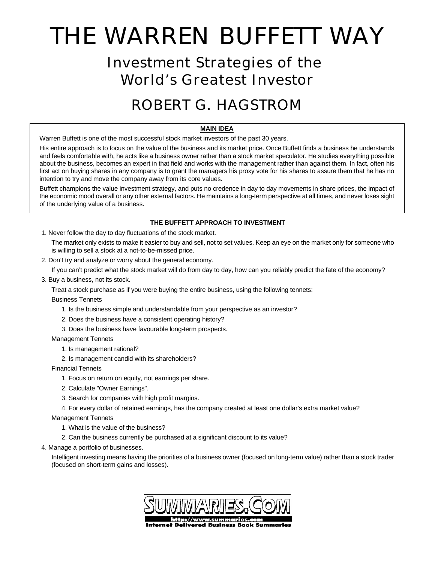# THE WARREN BUFFETT WAY

## Investment Strategies of the World's Greatest Investor

# ROBERT G. HAGSTROM

### **MAIN IDEA**

Warren Buffett is one of the most successful stock market investors of the past 30 years.

His entire approach is to focus on the value of the business and its market price. Once Buffett finds a business he understands and feels comfortable with, he acts like a business owner rather than a stock market speculator. He studies everything possible about the business, becomes an expert in that field and works with the management rather than against them. In fact, often his first act on buying shares in any company is to grant the managers his proxy vote for his shares to assure them that he has no intention to try and move the company away from its core values.

Buffett champions the value investment strategy, and puts no credence in day to day movements in share prices, the impact of the economic mood overall or any other external factors. He maintains a long-term perspective at all times, and never loses sight of the underlying value of a business.

### **THE BUFFETT APPROACH TO INVESTMENT**

1. Never follow the day to day fluctuations of the stock market.

The market only exists to make it easier to buy and sell, not to set values. Keep an eye on the market only for someone who is willing to sell a stock at a not-to-be-missed price.

2. Don't try and analyze or worry about the general economy.

If you can't predict what the stock market will do from day to day, how can you reliably predict the fate of the economy?

3. Buy a business, not its stock.

Treat a stock purchase as if you were buying the entire business, using the following tennets:

Business Tennets

- 1. Is the business simple and understandable from your perspective as an investor?
- 2. Does the business have a consistent operating history?
- 3. Does the business have favourable long-term prospects.

### Management Tennets

- 1. Is management rational?
- 2. Is management candid with its shareholders?

Financial Tennets

- 1. Focus on return on equity, not earnings per share.
- 2. Calculate "Owner Earnings".
- 3. Search for companies with high profit margins.
- 4. For every dollar of retained earnings, has the company created at least one dollar's extra market value?

Management Tennets

- 1. What is the value of the business?
- 2. Can the business currently be purchased at a significant discount to its value?
- 4. Manage a portfolio of businesses.

Intelligent investing means having the priorities of a business owner (focused on long-term value) rather than a stock trader (focused on short-term gains and losses).

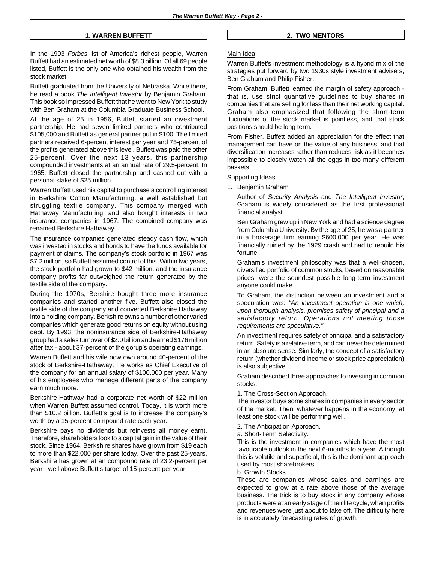### **1. WARREN BUFFETT**

In the 1993 *Forbes* list of America's richest people, Warren Buffett had an estimated net worth of \$8.3 billion. Of all 69 people listed, Buffett is the only one who obtained his wealth from the stock market.

Buffett graduated from the University of Nebraska. While there, he read a book *The Intelligent Investor* by Benjamin Graham. This book so impressed Buffett that he went to New York to study with Ben Graham at the Columbia Graduate Business School.

At the age of 25 in 1956, Buffett started an investment partnership. He had seven limited partners who contributed \$105,000 and Buffett as general partner put in \$100. The limited partners received 6-percent interest per year and 75-percent of the profits generated above this level. Buffett was paid the other 25-percent. Over the next 13 years, this partnership compounded investments at an annual rate of 29.5-percent. In 1965, Buffett closed the partnership and cashed out with a personal stake of \$25 million.

Warren Buffett used his capital to purchase a controlling interest in Berkshire Cotton Manufacturing, a well established but struggling textile company. This company merged with Hathaway Manufacturing, and also bought interests in two insurance companies in 1967. The combined company was renamed Berkshire Hathaway.

The insurance companies generated steady cash flow, which was invested in stocks and bonds to have the funds available for payment of claims. The company's stock portfolio in 1967 was \$7.2 million, so Buffett assumed control of this. Within two years, the stock portfolio had grown to \$42 million, and the insurance company profits far outweighed the return generated by the textile side of the company.

During the 1970s, Bershire bought three more insurance companies and started another five. Buffett also closed the textile side of the company and converted Berkshire Hathaway into a holding company. Berkshire owns a number of other varied companies which generate good returns on equity without using debt. By 1993, the noninsurance side of Berkshire-Hathaway group had a sales turnover of \$2.0 billion and earned \$176 million after tax - about 37-percent of the gorup's operating earnings.

Warren Buffett and his wife now own around 40-percent of the stock of Berkshire-Hathaway. He works as Chief Executive of the company for an annual salary of \$100,000 per year. Many of his employees who manage different parts of the company earn much more.

Berkshire-Hathway had a corporate net worth of \$22 million when Warren Buffett assumed control. Today, it is worth more than \$10.2 billion. Buffett's goal is to increase the company's worth by a 15-percent compound rate each year.

Berkshire pays no dividends but reinvests all money earnt. Therefore, shareholders look to a capital gain in the value of their stock. Since 1964, Berkshire shares have grown from \$19 each to more than \$22,000 per share today. Over the past 25-years, Berkshire has grown at an compound rate of 23.2-percent per year - well above Buffett's target of 15-percent per year.

### **2. TWO MENTORS**

### Main Idea

Warren Buffet's investment methodology is a hybrid mix of the strategies put forward by two 1930s style investment advisers, Ben Graham and Philip Fisher.

From Graham, Buffett learned the margin of safety approach that is, use strict quantative guidelines to buy shares in companies that are selling for less than their net working capital. Graham also emphasized that following the short-term fluctuations of the stock market is pointless, and that stock positions should be long term.

From Fisher, Buffett added an appreciation for the effect that management can have on the value of any business, and that diversification increases rather than reduces risk as it becomes impossible to closely watch all the eggs in too many different baskets.

#### Supporting Ideas

1. Benjamin Graham

Author of *Security Analysis* and *The Intelligent Investor*, Graham is widely considered as the first professional financial analyst.

Ben Graham grew up in New York and had a science degree from Columbia University. By the age of 25, he was a partner in a brokerage firm earning \$600,000 per year. He was financially ruined by the 1929 crash and had to rebuild his fortune.

Graham's investment philosophy was that a well-chosen, diversified portfolio of common stocks, based on reasonable prices, were the soundest possible long-term investment anyone could make.

To Graham, the distinction between an investment and a speculation was: *''An investment operation is one which, upon thorough analysis, promises safety of principal and a satisfactory return. Operations not meeting those requirements are speculative.''*

An investment requires safety of principal and a satisfactory return. Safety is a relative term, and can never be determined in an absolute sense. Similarly, the concept of a satisfactory return (whether dividend income or stock price appreciation) is also subjective.

Graham described three approaches to investing in common stocks:

1. The Cross-Section Approach.

The investor buys some shares in companies in every sector of the market. Then, whatever happens in the economy, at least one stock will be performing well.

- 2. The Anticipation Approach.
- a. Short-Term Selectivity.

This is the investment in companies which have the most favourable outlook in the next 6-months to a year. Although this is volatile and superficial, this is the dominant approach used by most sharebrokers.

b. Growth Stocks

These are companies whose sales and earnings are expected to grow at a rate above those of the average business. The trick is to buy stock in any company whose products were at an early stage of their life cycle, when profits and revenues were just about to take off. The difficulty here is in accurately forecasting rates of growth.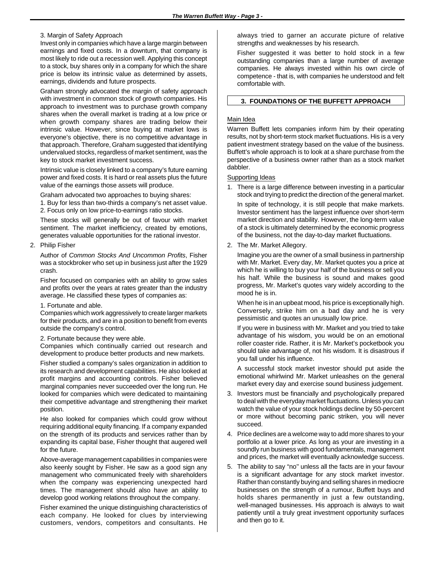### 3. Margin of Safety Approach

Invest only in companies which have a large margin between earnings and fixed costs. In a downturn, that company is most likely to ride out a recession well. Applying this concept to a stock, buy shares only in a company for which the share price is below its intrinsic value as determined by assets, earnings, dividends and future prospects.

Graham strongly advocated the margin of safety approach with investment in common stock of growth companies. His approach to investment was to purchase growth company shares when the overall market is trading at a low price or when growth company shares are trading below their intrinsic value. However, since buying at market lows is everyone's objective, there is no competitive advantage in that approach. Therefore, Graham suggested that identifying undervalued stocks, regardless of market sentiment, was the key to stock market investment success.

Intrinsic value is closely linked to a company's future earning power and fixed costs. It is hard or real assets plus the future value of the earnings those assets will produce.

Graham advocated two approaches to buying shares:

1. Buy for less than two-thirds a company's net asset value. 2. Focus only on low price-to-earnings ratio stocks.

These stocks will generally be out of favour with market sentiment. The market inefficiency, created by emotions, generates valuable opportunities for the rational investor.

### 2. Philip Fisher

Author of *Common Stocks And Uncommon Profits*, Fisher was a stockbroker who set up in business just after the 1929 crash.

Fisher focused on companies with an ability to grow sales and profits over the years at rates greater than the industry average. He classified these types of companies as:

### 1. Fortunate and able.

Companies which work aggressively to create larger markets for their products, and are in a position to benefit from events outside the company's control.

### 2. Fortunate because they were able.

Companies which continually carried out research and development to produce better products and new markets.

Fisher studied a company's sales organization in addition to its research and development capabilities. He also looked at profit margins and accounting controls. Fisher believed marginal companies never succeeded over the long run. He looked for companies which were dedicated to maintaining their competitive advantage and strengthening their market position.

He also looked for companies which could grow without requiring additional equity financing. If a company expanded on the strength of its products and services rather than by expanding its capital base, Fisher thought that augered well for the future.

Above-average management capabilities in companies were also keenly sought by Fisher. He saw as a good sign any management who communicated freely with shareholders when the company was experiencing unexpected hard times. The management should also have an ability to develop good working relations throughout the company.

Fisher examined the unique distinguishing characteristics of each company. He looked for clues by interviewing customers, vendors, competitors and consultants. He

always tried to garner an accurate picture of relative strengths and weaknesses by his research.

Fisher suggested it was better to hold stock in a few outstanding companies than a large number of average companies. He always invested within his own circle of competence - that is, with companies he understood and felt comfortable with.

### **3. FOUNDATIONS OF THE BUFFETT APPROACH**

### Main Idea

Warren Buffett lets companies inform him by their operating results, not by short-term stock market fluctuations. His is a very patient investment strategy based on the value of the business. Buffett's whole approach is to look at a share purchase from the perspective of a business owner rather than as a stock market dabbler.

### Supporting Ideas

1. There is a large difference between investing in a particular stock and trying to predict the direction of the general market.

In spite of technology, it is still people that make markets. Investor sentiment has the largest influence over short-term market direction and stability. However, the long-term value of a stock is ultimately determined by the economic progress of the business, not the day-to-day market fluctuations.

### 2. The Mr. Market Allegory.

Imagine you are the owner of a small business in partnership with Mr. Market. Every day, Mr. Market quotes you a price at which he is willing to buy your half of the business or sell you his half. While the business is sound and makes good progress, Mr. Market's quotes vary widely according to the mood he is in.

When he is in an upbeat mood, his price is exceptionally high. Conversely, strike him on a bad day and he is very pessimistic and quotes an unusually low price.

If you were in business with Mr. Market and you tried to take advantage of his wisdom, you would be on an emotional roller coaster ride. Rather, it is Mr. Market's pocketbook you should take advantage of, not his wisdom. It is disastrous if you fall under his influence.

A successful stock market investor should put aside the emotional whirlwind Mr. Market unleashes on the general market every day and exercise sound business judgement.

- 3. Investors must be financially and psychologically prepared to deal with the everyday market fluctuations. Unless you can watch the value of your stock holdings decline by 50-percent or more without becoming panic striken, you will never succeed.
- 4. Price declines are a welcome way to add more shares to your portfolio at a lower price. As long as your are investing in a soundly run business with good fundamentals, management and prices, the market will eventually acknowledge success.
- 5. The ability to say ''no'' unless all the facts are in your favour is a significant advantage for any stock market investor. Rather than constantly buying and selling shares in mediocre businesses on the strength of a rumour, Buffett buys and holds shares permanently in just a few outstanding, well-managed businesses. His approach is always to wait patiently until a truly great investment opportunity surfaces and then go to it.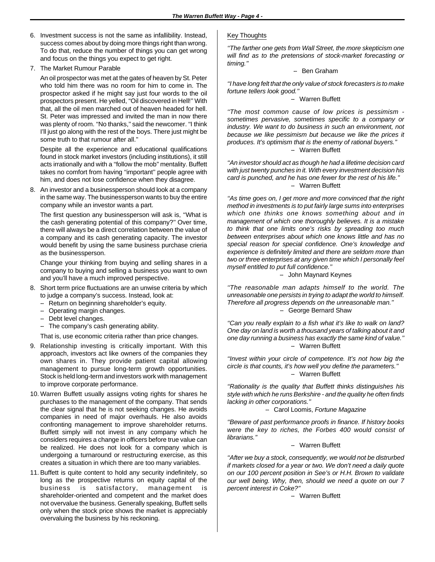- 6. Investment success is not the same as infallibility. Instead, success comes about by doing more things right than wrong. To do that, reduce the number of things you can get wrong and focus on the things you expect to get right.
- 7. The Market Rumour Parable

An oil prospector was met at the gates of heaven by St. Peter who told him there was no room for him to come in. The prospector asked if he might say just four words to the oil prospectors present. He yelled, ''Oil discovered in Hell!'' With that, all the oil men marched out of heaven headed for hell. St. Peter was impressed and invited the man in now there was plenty of room. "No thanks," said the newcomer. "I think I'll just go along with the rest of the boys. There just might be some truth to that rumour after all.''

Despite all the experience and educational qualifications found in stock market investors (including institutions), it still acts irrationally and with a ''follow the mob'' mentality. Buffett takes no comfort from having ''important'' people agree with him, and does not lose confidence when they disagree.

8. An investor and a businessperson should look at a company in the same way. The businessperson wants to buy the entire company while an investor wants a part.

The first question any businessperson will ask is, ''What is the cash generating potential of this company?'' Over time, there will always be a direct correlation between the value of a company and its cash generating capacity. The investor would benefit by using the same business purchase crieria as the businessperson.

Change your thinking from buying and selling shares in a company to buying and selling a business you want to own and you'll have a much improved perspective.

- 8. Short term price fluctuations are an unwise criteria by which to judge a company's success. Instead, look at:
	- Return on beginning shareholder's equity.
	- -- Operating margin changes.
	- Debt level changes.
	- The company's cash generating ability.

That is, use economic criteria rather than price changes.

- 9. Relationship investing is critically important. With this approach, investors act like owners of the companies they own shares in. They provide patient capital allowing management to pursue long-term growth opportunities. Stock is held long-term and investors work with management to improve corporate performance.
- 10. Warren Buffett usually assigns voting rights for shares he purchases to the management of the company. That sends the clear signal that he is not seeking changes. He avoids companies in need of major overhauls. He also avoids confronting management to improve shareholder returns. Buffett simply will not invest in any company which he considers requires a change in officers before true value can be realized. He does not look for a company which is undergoing a turnaround or restructuring exercise, as this creates a situation in which there are too many variables.
- 11. Buffett is quite content to hold any security indefinitely, so long as the prospective returns on equity capital of the business is satisfactory, management is shareholder-oriented and competent and the market does not overvalue the business. Generally speaking, Buffett sells only when the stock price shows the market is appreciably overvaluing the business by his reckoning.

### Key Thoughts

*''The farther one gets from Wall Street, the more skepticism one will find as to the pretensions of stock-market forecasting or timing.''*

-- Ben Graham

*''I have long felt that the only value of stock forecasters is to make fortune tellers look good.''*

-- Warren Buffett

*''The most common cause of low prices is pessimism sometimes pervasive, sometimes specific to a company or industry. We want to do business in such an environment, not because we like pessimism but because we like the prices it produces. It's optimism that is the enemy of rational buyers.''* -- Warren Buffett

*''An investor should act as though he had a lifetime decision card with just twenty punches in it. With every investment decision his card is punched, and he has one fewer for the rest of his life.''* -- Warren Buffett

*''As time goes on, I get more and more convinced that the right method in investments is to put fairly large sums into enterprises which one thinks one knows something about and in management of which one thoroughly believes. It is a mistake to think that one limits one's risks by spreading too much between enterprises about which one knows little and has no special reason for special confidence. One's knowledge and experience is definitely limited and there are seldom more than two or three enterprises at any given time which I personally feel myself entitled to put full confidence.''*

-- John Maynard Keynes

*''The reasonable man adapts himself to the world. The unreasonable one persists in trying to adapt the world to himself. Therefore all progress depends on the unreasonable man.''* -- George Bernard Shaw

*''Can you really explain to a fish what it's like to walk on land? One day on land is worth a thousand years of talking about it and one day running a business has exactly the same kind of value.''* -- Warren Buffett

*''Invest within your circle of competence. It's not how big the circle is that counts, it's how well you define the parameters.''* -- Warren Buffett

*''Rationality is the quality that Buffett thinks distinguishes his style with which he runs Berkshire - and the quality he often finds lacking in other corporations.''*

-- Carol Loomis, *Fortune Magazine*

*''Beware of past performance proofs in finance. If history books were the key to riches, the Forbes 400 would consist of librarians.''*

-- Warren Buffett

*''After we buy a stock, consequently, we would not be distrurbed if markets closed for a year or two. We don't need a daily quote on our 100 percent position in See's or H.H. Brown to validate our well being. Why, then, should we need a quote on our 7 percent interest in Coke?''*

-- Warren Buffett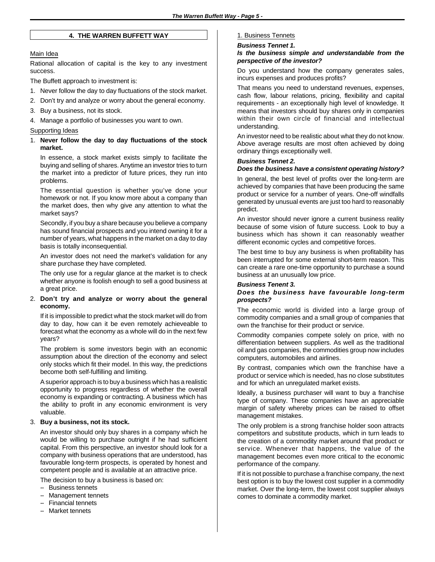### **4. THE WARREN BUFFETT WAY**

### Main Idea

Rational allocation of capital is the key to any investment success.

The Buffett approach to investment is:

- 1. Never follow the day to day fluctuations of the stock market.
- 2. Don't try and analyze or worry about the general economy.
- 3. Buy a business, not its stock.
- 4. Manage a portfolio of businesses you want to own.

### Supporting Ideas

1. **Never follow the day to day fluctuations of the stock market.**

In essence, a stock market exists simply to facilitate the buying and selling of shares. Anytime an investor tries to turn the market into a predictor of future prices, they run into problems.

The essential question is whether you've done your homework or not. If you know more about a company than the market does, then why give any attention to what the market says?

Secondly, if you buy a share because you believe a company has sound financial prospects and you intend owning it for a number of years, what happens in the market on a day to day basis is totally inconsequential.

An investor does not need the market's validation for any share purchase they have completed.

The only use for a regular glance at the market is to check whether anyone is foolish enough to sell a good business at a great price.

### 2. **Don't try and analyze or worry about the general economy.**

If it is impossible to predict what the stock market will do from day to day, how can it be even remotely achieveable to forecast what the economy as a whole will do in the next few years?

The problem is some investors begin with an economic assumption about the direction of the economy and select only stocks which fit their model. In this way, the predictions become both self-fulfilling and limiting.

A superior approach is to buy a business which has a realistic opportunity to progress regardless of whether the overall economy is expanding or contracting. A business which has the ability to profit in any economic environment is very valuable.

### 3. **Buy a business, not its stock.**

An investor should only buy shares in a company which he would be willing to purchase outright if he had sufficient capital. From this perspective, an investor should look for a company with business operations that are understood, has favourable long-term prospects, is operated by honest and competent people and is available at an attractive price.

The decision to buy a business is based on:

- -- Business tennets
- -- Management tennets
- -- Financial tennets
- Market tennets

### 1. Business Tennets

#### *Business Tennet 1.*

### *Is the business simple and understandable from the perspective of the investor?*

Do you understand how the company generates sales, incurs expenses and produces profits?

That means you need to understand revenues, expenses, cash flow, labour relations, pricing, flexibility and capital requirements - an exceptionally high level of knowledge. It means that investors should buy shares only in companies within their own circle of financial and intellectual understanding.

An investor need to be realistic about what they do not know. Above average results are most often achieved by doing ordinary things exceptionally well.

### *Business Tennet 2.*

### *Does the business have a consistent operating history?*

In general, the best level of profits over the long-term are achieved by companies that have been producing the same product or service for a number of years. One-off windfalls generated by unusual events are just too hard to reasonably predict.

An investor should never ignore a current business reality because of some vision of future success. Look to buy a business which has shown it can reasonably weather different economic cycles and competitive forces.

The best time to buy any business is when profitability has been interrupted for some external short-term reason. This can create a rare one-time opportunity to purchase a sound business at an unusually low price.

### *Business Tenent 3.*

### *Does the business have favourable long-term prospects?*

The economic world is divided into a large group of commodity companies and a small group of companies that own the franchise for their product or service.

Commodity companies compete solely on price, with no differentiation between suppliers. As well as the traditional oil and gas companies, the commodities group now includes computers, automobiles and airlines.

By contrast, companies which own the franchise have a product or service which is needed, has no close substitutes and for which an unregulated market exists.

Ideally, a business purchaser will want to buy a franchise type of company. These companies have an appreciable margin of safety whereby prices can be raised to offset management mistakes.

The only problem is a strong franchise holder soon attracts competitors and substitute products, which in turn leads to the creation of a commodity market around that product or service. Whenever that happens, the value of the management becomes even more critical to the economic performance of the company.

If it is not possible to purchase a franchise company, the next best option is to buy the lowest cost supplier in a commodity market. Over the long-term, the lowest cost supplier always comes to dominate a commodity market.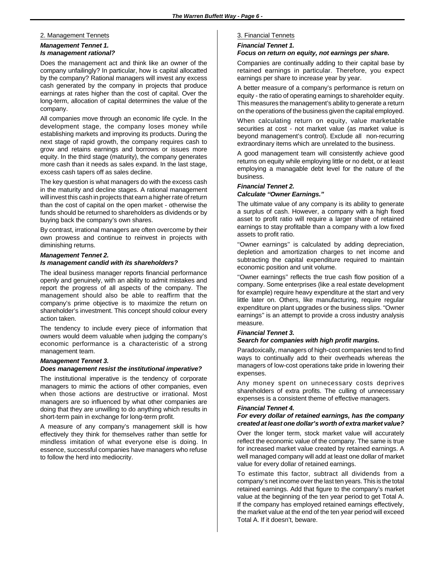### 2. Management Tennets

### *Management Tennet 1. Is management rational?*

Does the management act and think like an owner of the company unfailingly? In particular, how is capital allocatted by the company? Rational managers will invest any excess cash generated by the company in projects that produce earnings at rates higher than the cost of capital. Over the long-term, allocation of capital determines the value of the company.

All companies move through an economic life cycle. In the development stage, the company loses money while establishing markets and improving its products. During the next stage of rapid growth, the company requires cash to grow and retains earnings and borrows or issues more equity. In the third stage (maturity), the company generates more cash than it needs as sales expand. In the last stage, excess cash tapers off as sales decline.

The key question is what managers do with the excess cash in the maturity and decline stages. A rational management will invest this cash in projects that earn a higher rate of return than the cost of capital on the open market - otherwise the funds should be returned to shareholders as dividends or by buying back the company's own shares.

By contrast, irrational managers are often overcome by their own prowess and continue to reinvest in projects with diminishing returns.

### *Management Tennet 2. Is management candid with its shareholders?*

The ideal business manager reports financial performance openly and genuinely, with an ability to admit mistakes and report the progress of all aspects of the company. The management should also be able to reaffirm that the company's prime objective is to maximize the return on shareholder's investment. This concept should colour every action taken.

The tendency to include every piece of information that owners would deem valuable when judging the company's economic performance is a characteristic of a strong management team.

### *Management Tennet 3.*

### *Does management resist the institutional imperative?*

The institutional imperative is the tendency of corporate managers to mimic the actions of other companies, even when those actions are destructive or irrational. Most managers are so influenced by what other companies are doing that they are unwilling to do anything which results in short-term pain in exchange for long-term profit.

A measure of any company's management skill is how effectively they think for themselves rather than settle for mindless imitation of what everyone else is doing. In essence, successful companies have managers who refuse to follow the herd into mediocrity.

### 3. Financial Tennets

### *Financial Tennet 1.*

### *Focus on return on equity, not earnings per share.*

Companies are continually adding to their capital base by retained earnings in particular. Therefore, you expect earnings per share to increase year by year.

A better measure of a company's performance is return on equity - the ratio of operating earnings to shareholder equity. This measures the management's ability to generate a return on the operations of the business given the capital employed.

When calculating return on equity, value marketable securities at cost - not market value (as market value is beyond management's control). Exclude all non-recurring extraordinary items which are unrelated to the business.

A good management team will consistently achieve good returns on equity while employing little or no debt, or at least employing a managable debt level for the nature of the business.

### *Financial Tennet 2. Calculate ''Owner Earnings.''*

The ultimate value of any company is its ability to generate a surplus of cash. However, a company with a high fixed asset to profit ratio will require a larger share of retained earnings to stay profitable than a company with a low fixed assets to profit ratio.

''Owner earnings'' is calculated by adding depreciation, depletion and amortization charges to net income and subtracting the capital expenditure required to maintain economic position and unit volume.

''Owner earnings'' reflects the true cash flow position of a company. Some enterprises (like a real estate development for example) require heavy expenditure at the start and very little later on. Others, like manufacturing, require regular expenditure on plant upgrades or the business slips. ''Owner earnings'' is an attempt to provide a cross industry analysis measure.

### *Financial Tennet 3.*

### *Search for companies with high profit margins.*

Paradoxically, managers of high-cost companies tend to find ways to continually add to their overheads whereas the managers of low-cost operations take pride in lowering their expenses.

Any money spent on unnecessary costs deprives shareholders of extra profits. The culling of unnecessary expenses is a consistent theme of effective managers.

### *Financial Tennet 4.*

### *For every dollar of retained earnings, has the company created at least one dollar's worth of extra market value?*

Over the longer term, stock market value will accurately reflect the economic value of the company. The same is true for increased market value created by retained earnings. A well managed company will add at least one dollar of market value for every dollar of retained earnings.

To estimate this factor, subtract all dividends from a company's net income over the last ten years. This is the total retained earnings. Add that figure to the company's market value at the beginning of the ten year period to get Total A. If the company has employed retained earnings effectively, the market value at the end of the ten year period will exceed Total A. If it doesn't, beware.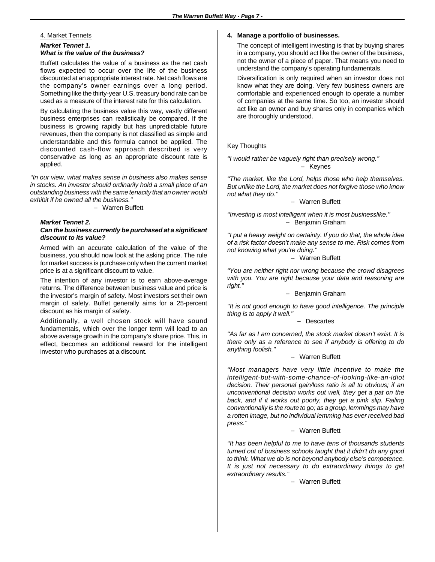### 4. Market Tennets

### *Market Tennet 1. What is the value of the business?*

Buffett calculates the value of a business as the net cash flows expected to occur over the life of the business discounted at an appropriate interest rate. Net cash flows are the company's owner earnings over a long period. Something like the thirty-year U.S. treasury bond rate can be used as a measure of the interest rate for this calculation.

By calculating the business value this way, vastly different business enterprises can realistically be compared. If the business is growing rapidly but has unpredictable future revenues, then the company is not classified as simple and understandable and this formula cannot be applied. The discounted cash-flow approach described is very conservative as long as an appropriate discount rate is applied.

*''In our view, what makes sense in business also makes sense in stocks. An investor should ordinarily hold a small piece of an outstanding business with the same tenacity that an owner would exhibit if he owned all the business.''*

-- Warren Buffett

### *Market Tennet 2.*

### *Can the business currently be purchased at a significant discount to its value?*

Armed with an accurate calculation of the value of the business, you should now look at the asking price. The rule for market success is purchase only when the current market price is at a significant discount to value.

The intention of any investor is to earn above-average returns. The difference between business value and price is the investor's margin of safety. Most investors set their own margin of safety. Buffet generally aims for a 25-percent discount as his margin of safety.

Additionally, a well chosen stock will have sound fundamentals, which over the longer term will lead to an above average growth in the company's share price. This, in effect, becomes an additional reward for the intelligent investor who purchases at a discount.

### **4. Manage a portfolio of businesses.**

The concept of intelligent investing is that by buying shares in a company, you should act like the owner of the business, not the owner of a piece of paper. That means you need to understand the company's operating fundamentals.

Diversification is only required when an investor does not know what they are doing. Very few business owners are comfortable and experienced enough to operate a number of companies at the same time. So too, an investor should act like an owner and buy shares only in companies which are thoroughly understood.

### Key Thoughts

*''I would rather be vaguely right than precisely wrong.''* -- Keynes

*''The market, like the Lord, helps those who help themselves. But unlike the Lord, the market does not forgive those who know not what they do.''*

-- Warren Buffett

*''Investing is most intelligent when it is most businesslike.''* -- Benjamin Graham

*''I put a heavy weight on certainty. If you do that, the whole idea of a risk factor doesn't make any sense to me. Risk comes from not knowing what you're doing.''*

-- Warren Buffett

*''You are neither right nor wrong because the crowd disagrees with you. You are right because your data and reasoning are right.''*

-- Benjamin Graham

*''It is not good enough to have good intelligence. The principle thing is to apply it well.''*

-- Descartes

*''As far as I am concerned, the stock market doesn't exist. It is there only as a reference to see if anybody is offering to do anything foolish.''*

### -- Warren Buffett

*''Most managers have very little incentive to make the intelligent-but-with-some-chance-of-looking-like-an-idiot decision. Their personal gain/loss ratio is all to obvious; if an unconventional decision works out well, they get a pat on the back, and if it works out poorly, they get a pink slip. Failing conventionally is the route to go; as a group, lemmings may have a rotten image, but no individual lemming has ever received bad press.''*

### -- Warren Buffett

*''It has been helpful to me to have tens of thousands students turned out of business schools taught that it didn't do any good to think. What we do is not beyond anybody else's competence. It is just not necessary to do extraordinary things to get extraordinary results.''*

-- Warren Buffett